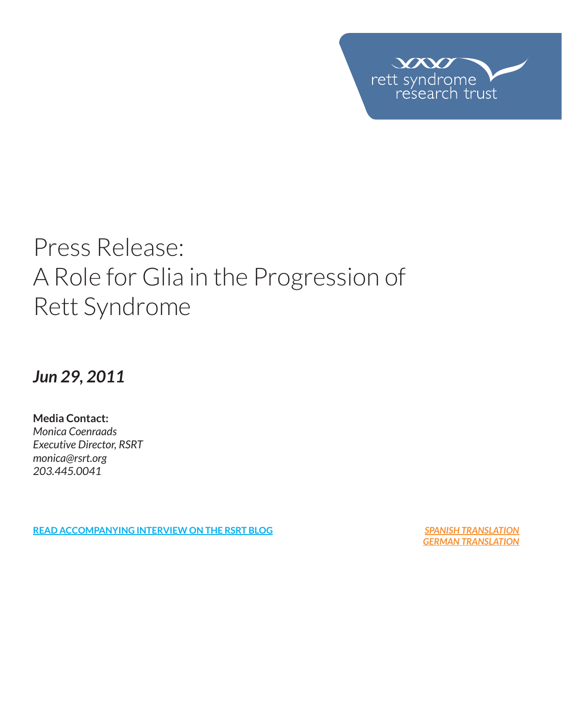

# Press Release: A Role for Glia in the Progression of Rett Syndrome

*Jun 29, 2011*

**Media Contact:**  *Monica Coenraads Executive Director, RSRT monica@rsrt.org 203.445.0041*

**READ ACCOMPANYING INTERVIEW ON THE RSRT BLOG** *SPANISH TRANSLATION*

*GERMAN TRANSLATION*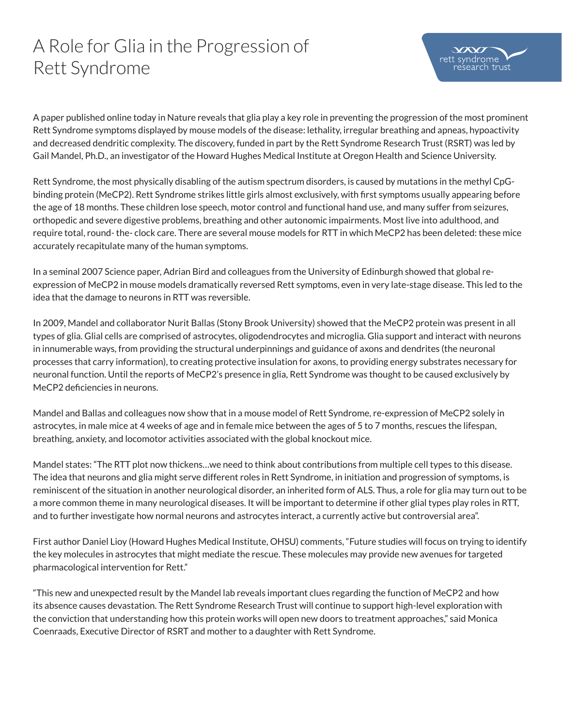## A Role for Glia in the Progression of Rett Syndrome

A paper published online today in Nature reveals that glia play a key role in preventing the progression of the most prominent Rett Syndrome symptoms displayed by mouse models of the disease: lethality, irregular breathing and apneas, hypoactivity and decreased dendritic complexity. The discovery, funded in part by the Rett Syndrome Research Trust (RSRT) was led by Gail Mandel, Ph.D., an investigator of the Howard Hughes Medical Institute at Oregon Health and Science University.

Rett Syndrome, the most physically disabling of the autism spectrum disorders, is caused by mutations in the methyl CpGbinding protein (MeCP2). Rett Syndrome strikes little girls almost exclusively, with first symptoms usually appearing before the age of 18 months. These children lose speech, motor control and functional hand use, and many suffer from seizures, orthopedic and severe digestive problems, breathing and other autonomic impairments. Most live into adulthood, and require total, round- the- clock care. There are several mouse models for RTT in which MeCP2 has been deleted: these mice accurately recapitulate many of the human symptoms.

In a seminal 2007 Science paper, Adrian Bird and colleagues from the University of Edinburgh showed that global reexpression of MeCP2 in mouse models dramatically reversed Rett symptoms, even in very late-stage disease. This led to the idea that the damage to neurons in RTT was reversible.

In 2009, Mandel and collaborator Nurit Ballas (Stony Brook University) showed that the MeCP2 protein was present in all types of glia. Glial cells are comprised of astrocytes, oligodendrocytes and microglia. Glia support and interact with neurons in innumerable ways, from providing the structural underpinnings and guidance of axons and dendrites (the neuronal processes that carry information), to creating protective insulation for axons, to providing energy substrates necessary for neuronal function. Until the reports of MeCP2's presence in glia, Rett Syndrome was thought to be caused exclusively by MeCP2 deficiencies in neurons.

Mandel and Ballas and colleagues now show that in a mouse model of Rett Syndrome, re-expression of MeCP2 solely in astrocytes, in male mice at 4 weeks of age and in female mice between the ages of 5 to 7 months, rescues the lifespan, breathing, anxiety, and locomotor activities associated with the global knockout mice.

Mandel states: "The RTT plot now thickens…we need to think about contributions from multiple cell types to this disease. The idea that neurons and glia might serve different roles in Rett Syndrome, in initiation and progression of symptoms, is reminiscent of the situation in another neurological disorder, an inherited form of ALS. Thus, a role for glia may turn out to be a more common theme in many neurological diseases. It will be important to determine if other glial types play roles in RTT, and to further investigate how normal neurons and astrocytes interact, a currently active but controversial area".

First author Daniel Lioy (Howard Hughes Medical Institute, OHSU) comments, "Future studies will focus on trying to identify the key molecules in astrocytes that might mediate the rescue. These molecules may provide new avenues for targeted pharmacological intervention for Rett."

"This new and unexpected result by the Mandel lab reveals important clues regarding the function of MeCP2 and how its absence causes devastation. The Rett Syndrome Research Trust will continue to support high-level exploration with the conviction that understanding how this protein works will open new doors to treatment approaches," said Monica Coenraads, Executive Director of RSRT and mother to a daughter with Rett Syndrome.